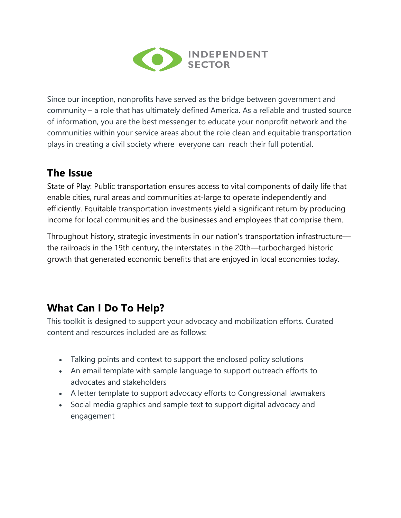

Since our inception, nonprofits have served as the bridge between government and community – a role that has ultimately defined America. As a reliable and trusted source of information, you are the best messenger to educate your nonprofit network and the communities within your service areas about the role clean and equitable transportation plays in creating a civil society where everyone can reach their full potential.

## **The Issue**

State of Play: Public transportation ensures access to vital components of daily life that enable cities, rural areas and communities at-large to operate independently and efficiently. Equitable transportation investments yield a significant return by producing income for local communities and the businesses and employees that comprise them.

Throughout history, strategic investments in our nation's transportation infrastructure the railroads in the 19th century, the interstates in the 20th—turbocharged historic growth that generated economic benefits that are enjoyed in local economies today.

# **What Can I Do To Help?**

This toolkit is designed to support your advocacy and mobilization efforts. Curated content and resources included are as follows:

- Talking points and context to support the enclosed policy solutions
- An email template with sample language to support outreach efforts to advocates and stakeholders
- A letter template to support advocacy efforts to Congressional lawmakers
- Social media graphics and sample text to support digital advocacy and engagement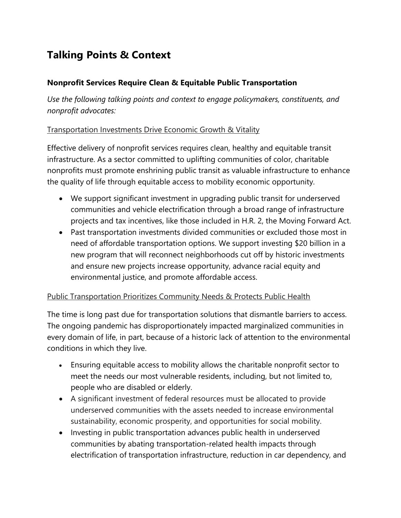# **Talking Points & Context**

### **Nonprofit Services Require Clean & Equitable Public Transportation**

*Use the following talking points and context to engage policymakers, constituents, and nonprofit advocates:* 

### Transportation Investments Drive Economic Growth & Vitality

Effective delivery of nonprofit services requires clean, healthy and equitable transit infrastructure. As a sector committed to uplifting communities of color, charitable nonprofits must promote enshrining public transit as valuable infrastructure to enhance the quality of life through equitable access to mobility economic opportunity.

- We support significant investment in upgrading public transit for underserved communities and vehicle electrification through a broad range of infrastructure projects and tax incentives, like those included in H.R. 2, the Moving Forward Act.
- Past transportation investments divided communities or excluded those most in need of affordable transportation options. We support investing \$20 billion in a new program that will reconnect neighborhoods cut off by historic investments and ensure new projects increase opportunity, advance racial equity and environmental justice, and promote affordable access.

#### Public Transportation Prioritizes Community Needs & Protects Public Health

The time is long past due for transportation solutions that dismantle barriers to access. The ongoing pandemic has disproportionately impacted marginalized communities in every domain of life, in part, because of a historic lack of attention to the environmental conditions in which they live.

- Ensuring equitable access to mobility allows the charitable nonprofit sector to meet the needs our most vulnerable residents, including, but not limited to, people who are disabled or elderly.
- A significant investment of federal resources must be allocated to provide underserved communities with the assets needed to increase environmental sustainability, economic prosperity, and opportunities for social mobility.
- Investing in public transportation advances public health in underserved communities by abating transportation-related health impacts through electrification of transportation infrastructure, reduction in car dependency, and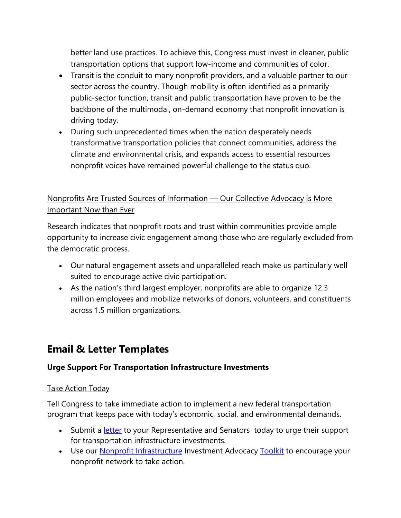better land use practices. To achieve this, Congress must invest in cleaner, public transportation options that support low-income and communities of color.

- Transit is the conduit to many nonprofit providers, and a valuable partner to our sector across the country. Though mobility is often identified as a primarily public-sector function, transit and public transportation have proven to be the backbone of the multimodal, on-demand economy that nonprofit innovation is driving today.
- During such unprecedented times when the nation desperately needs transformative transportation policies that connect communities, address the climate and environmental crisis, and expands access to essential resources nonprofit voices have remained powerful challenge to the status quo.

## Nonprofits Are Trusted Sources of Information — Our Collective Advocacy is More Important Now than Ever

Research indicates that nonprofit roots and trust within communities provide ample opportunity to increase civic engagement among those who are regularly excluded from the democratic process.

- Our natural engagement assets and unparalleled reach make us particularly well suited to encourage active civic participation.
- As the nation's third largest employer, nonprofits are able to organize 12.3 million employees and mobilize networks of donors, volunteers, and constituents across 1.5 million organizations.

## **Email & Letter Templates**

### **Urge Support For Transportation Infrastructure Investments**

### Take Action Today

Tell Congress to take immediate action to implement a new federal transportation program that keeps pace with today's economic, social, and environmental demands.

- Submit a [letter](https://independentsector.quorum.us/campaign/33045/) to your Representative and Senators today to urge their support for transportation infrastructure investments.
- Use our **Nonprofit Infrastructure** Investment Advocacy [Toolkit](https://independentsector.org/resource/civil-society-infrastructure-toolkit/) to encourage your nonprofit network to take action.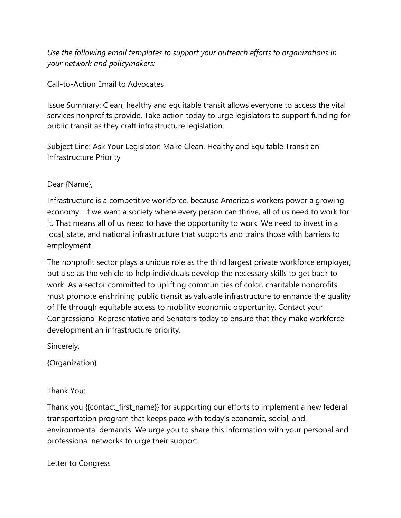*Use the following email templates to support your outreach efforts to organizations in your network and policymakers:* 

### Call-to-Action Email to Advocates

Issue Summary: Clean, healthy and equitable transit allows everyone to access the vital services nonprofits provide. Take action today to urge legislators to support funding for public transit as they craft infrastructure legislation.

Subject Line: Ask Your Legislator: Make Clean, Healthy and Equitable Transit an Infrastructure Priority

Dear {Name},

Infrastructure is a competitive workforce, because America's workers power a growing economy. If we want a society where every person can thrive, all of us need to work for it. That means all of us need to have the opportunity to work. We need to invest in a local, state, and national infrastructure that supports and trains those with barriers to employment.

The nonprofit sector plays a unique role as the third largest private workforce employer, but also as the vehicle to help individuals develop the necessary skills to get back to work. As a sector committed to uplifting communities of color, charitable nonprofits must promote enshrining public transit as valuable infrastructure to enhance the quality of life through equitable access to mobility economic opportunity. Contact your Congressional Representative and Senators today to ensure that they make workforce development an infrastructure priority.

Sincerely,

{Organization}

Thank You:

Thank you {{contact\_first\_name}} for supporting our efforts to implement a new federal transportation program that keeps pace with today's economic, social, and environmental demands. We urge you to share this information with your personal and professional networks to urge their support.

#### Letter to Congress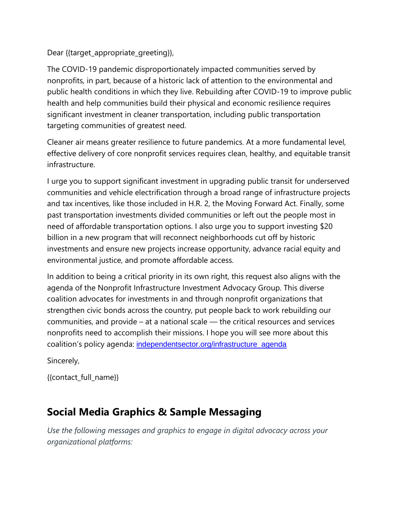Dear {{target\_appropriate\_greeting}},

The COVID-19 pandemic disproportionately impacted communities served by nonprofits, in part, because of a historic lack of attention to the environmental and public health conditions in which they live. Rebuilding after COVID-19 to improve public health and help communities build their physical and economic resilience requires significant investment in cleaner transportation, including public transportation targeting communities of greatest need.

Cleaner air means greater resilience to future pandemics. At a more fundamental level, effective delivery of core nonprofit services requires clean, healthy, and equitable transit infrastructure.

I urge you to support significant investment in upgrading public transit for underserved communities and vehicle electrification through a broad range of infrastructure projects and tax incentives, like those included in H.R. 2, the Moving Forward Act. Finally, some past transportation investments divided communities or left out the people most in need of affordable transportation options. I also urge you to support investing \$20 billion in a new program that will reconnect neighborhoods cut off by historic investments and ensure new projects increase opportunity, advance racial equity and environmental justice, and promote affordable access.

In addition to being a critical priority in its own right, this request also aligns with the agenda of the Nonprofit Infrastructure Investment Advocacy Group. This diverse coalition advocates for investments in and through nonprofit organizations that strengthen civic bonds across the country, put people back to work rebuilding our communities, and provide – at a national scale — the critical resources and services nonprofits need to accomplish their missions. I hope you will see more about this coalition's policy agenda: [independentsector.org/infrastructure\\_agenda](http://independentsector.org/infrastructure_agenda)

Sincerely,

{{contact\_full\_name}}

## **Social Media Graphics & Sample Messaging**

*Use the following messages and graphics to engage in digital advocacy across your organizational platforms:*